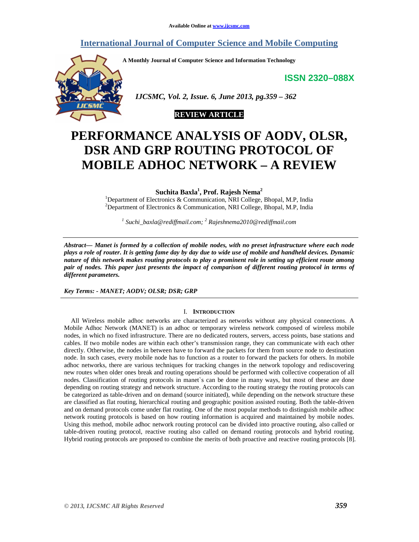# **International Journal of Computer Science and Mobile Computing**

**A Monthly Journal of Computer Science and Information Technology** 

**ISSN 2320–088X**



 *IJCSMC, Vol. 2, Issue. 6, June 2013, pg.359 – 362* 



# **PERFORMANCE ANALYSIS OF AODV, OLSR, DSR AND GRP ROUTING PROTOCOL OF MOBILE ADHOC NETWORK – A REVIEW**

**Suchita Baxla<sup>1</sup> , Prof. Rajesh Nema<sup>2</sup>**

<sup>1</sup>Department of Electronics & Communication, NRI College, Bhopal, M.P, India <sup>2</sup>Department of Electronics & Communication, NRI College, Bhopal, M.P, India

*1 Suchi\_baxla@rediffmail.com; <sup>2</sup> Rajeshnema2010@rediffmail.com* 

*Abstract— Manet is formed by a collection of mobile nodes, with no preset infrastructure where each node plays a role of router. It is getting fame day by day due to wide use of mobile and handheld devices. Dynamic nature of this network makes routing protocols to play a prominent role in setting up efficient route among pair of nodes. This paper just presents the impact of comparison of different routing protocol in terms of different parameters.* 

*Key Terms: - MANET; AODV; OLSR; DSR; GRP* 

#### I. **INTRODUCTION**

All Wireless mobile adhoc networks are characterized as networks without any physical connections. A Mobile Adhoc Network (MANET) is an adhoc or temporary wireless network composed of wireless mobile nodes, in which no fixed infrastructure. There are no dedicated routers, servers, access points, base stations and cables. If two mobile nodes are within each other's transmission range, they can communicate with each other directly. Otherwise, the nodes in between have to forward the packets for them from source node to destination node. In such cases, every mobile node has to function as a router to forward the packets for others. In mobile adhoc networks, there are various techniques for tracking changes in the network topology and rediscovering new routes when older ones break and routing operations should be performed with collective cooperation of all nodes. Classification of routing protocols in manet`s can be done in many ways, but most of these are done depending on routing strategy and network structure. According to the routing strategy the routing protocols can be categorized as table-driven and on demand (source initiated), while depending on the network structure these are classified as flat routing, hierarchical routing and geographic position assisted routing. Both the table-driven and on demand protocols come under flat routing. One of the most popular methods to distinguish mobile adhoc network routing protocols is based on how routing information is acquired and maintained by mobile nodes. Using this method, mobile adhoc network routing protocol can be divided into proactive routing, also called or table-driven routing protocol, reactive routing also called on demand routing protocols and hybrid routing. Hybrid routing protocols are proposed to combine the merits of both proactive and reactive routing protocols [8].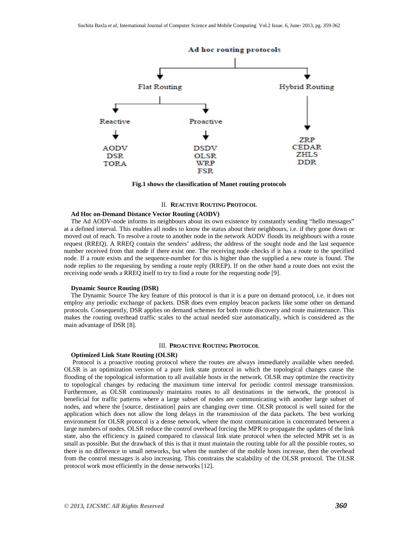

 **Fig.1 shows the classification of Manet routing protocols**

#### II. **REACTIVE ROUTING PROTOCOL**

## **Ad Hoc on-Demand Distance Vector Routing (AODV)**

The Ad AODV-node informs its neighbours about its own existence by constantly sending "hello messages" at a defined interval. This enables all nodes to know the status about their neighbours, i.e. if they gone down or moved out of reach. To resolve a route to another node in the network AODV floods its neighbours with a route request (RREQ). A RREQ contain the senders' address, the address of the sought node and the last sequence number received from that node if there exist one. The receiving node checks if it has a route to the specified node. If a route exists and the sequence-number for this is higher than the supplied a new route is found. The node replies to the requesting by sending a route reply (RREP). If on the other hand a route does not exist the receiving node sends a RREQ itself to try to find a route for the requesting node [9].

#### **Dynamic Source Routing (DSR)**

The Dynamic Source The key feature of this protocol is that it is a pure on demand protocol, i.e. it does not employ any periodic exchange of packets. DSR does even employ beacon packets like some other on demand protocols. Consequently, DSR applies on demand schemes for both route discovery and route maintenance. This makes the routing overhead traffic scales to the actual needed size automatically, which is considered as the main advantage of DSR [8].

#### III. **PROACTIVE ROUTING PROTOCOL**

#### **Optimized Link State Routing (OLSR)**

 Protocol is a proactive routing protocol where the routes are always immediately available when needed. OLSR is an optimization version of a pure link state protocol in which the topological changes cause the flooding of the topological information to all available hosts in the network. OLSR may optimize the reactivity to topological changes by reducing the maximum time interval for periodic control message transmission. Furthermore, as OLSR continuously maintains routes to all destinations in the network, the protocol is beneficial for traffic patterns where a large subset of nodes are communicating with another large subset of nodes, and where the [source, destination] pairs are changing over time. OLSR protocol is well suited for the application which does not allow the long delays in the transmission of the data packets. The best working environment for OLSR protocol is a dense network, where the most communication is concentrated between a large numbers of nodes. OLSR reduce the control overhead forcing the MPR to propagate the updates of the link state, also the efficiency is gained compared to classical link state protocol when the selected MPR set is as small as possible. But the drawback of this is that it must maintain the routing table for all the possible routes, so there is no difference in small networks, but when the number of the mobile hosts increase, then the overhead from the control messages is also increasing. This constrains the scalability of the OLSR protocol. The OLSR protocol work most efficiently in the dense networks [12].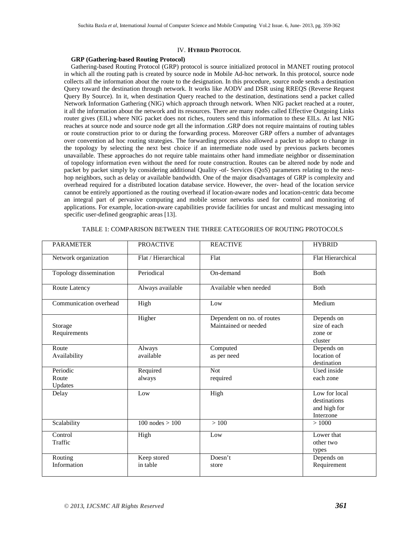#### IV. **HYBRID PROTOCOL**

### **GRP (Gathering-based Routing Protocol)**

Gathering-based Routing Protocol (GRP) protocol is source initialized protocol in MANET routing protocol in which all the routing path is created by source node in Mobile Ad-hoc network. In this protocol, source node collects all the information about the route to the designation. In this procedure, source node sends a destination Query toward the destination through network. It works like AODV and DSR using RREQS (Reverse Request Query By Source). In it, when destination Query reached to the destination, destinations send a packet called Network Information Gathering (NIG) which approach through network. When NIG packet reached at a router, it all the information about the network and its resources. There are many nodes called Effective Outgoing Links router gives (EIL) where NIG packet does not riches, routers send this information to these EILs. At last NIG reaches at source node and source node get all the information .GRP does not require maintains of routing tables or route construction prior to or during the forwarding process. Moreover GRP offers a number of advantages over convention ad hoc routing strategies. The forwarding process also allowed a packet to adopt to change in the topology by selecting the next best choice if an intermediate node used by previous packets becomes unavailable. These approaches do not require table maintains other hand immediate neighbor or dissemination of topology information even without the need for route construction. Routes can be altered node by node and packet by packet simply by considering additional Quality -of- Services (QoS) parameters relating to the nexthop neighbors, such as delay or available bandwidth. One of the major disadvantages of GRP is complexity and overhead required for a distributed location database service. However, the over- head of the location service cannot be entirely apportioned as the routing overhead if location-aware nodes and location-centric data become an integral part of pervasive computing and mobile sensor networks used for control and monitoring of applications. For example, location-aware capabilities provide facilities for uncast and multicast messaging into specific user-defined geographic areas [13].

| <b>PARAMETER</b>             | <b>PROACTIVE</b>        | <b>REACTIVE</b>                                    | <b>HYBRID</b>                                              |
|------------------------------|-------------------------|----------------------------------------------------|------------------------------------------------------------|
| Network organization         | Flat / Hierarchical     | Flat                                               | <b>Flat Hierarchical</b>                                   |
| Topology dissemination       | Periodical              | On-demand                                          | <b>B</b> oth                                               |
| Route Latency                | Always available        | Available when needed                              | <b>B</b> oth                                               |
| Communication overhead       | High                    | Low                                                | Medium                                                     |
| Storage<br>Requirements      | Higher                  | Dependent on no. of routes<br>Maintained or needed | Depends on<br>size of each<br>zone or<br>cluster           |
| Route<br>Availability        | Always<br>available     | Computed<br>as per need                            | Depends on<br>location of<br>destination                   |
| Periodic<br>Route<br>Updates | Required<br>always      | <b>Not</b><br>required                             | Used inside<br>each zone                                   |
| Delay                        | Low                     | High                                               | Low for local<br>destinations<br>and high for<br>Interzone |
| Scalability                  | $100$ nodes $> 100$     | >100                                               | >1000                                                      |
| Control<br>Traffic           | High                    | Low                                                | Lower that<br>other two<br>types                           |
| Routing<br>Information       | Keep stored<br>in table | Doesn't<br>store                                   | Depends on<br>Requirement                                  |

TABLE 1: COMPARISON BETWEEN THE THREE CATEGORIES OF ROUTING PROTOCOLS